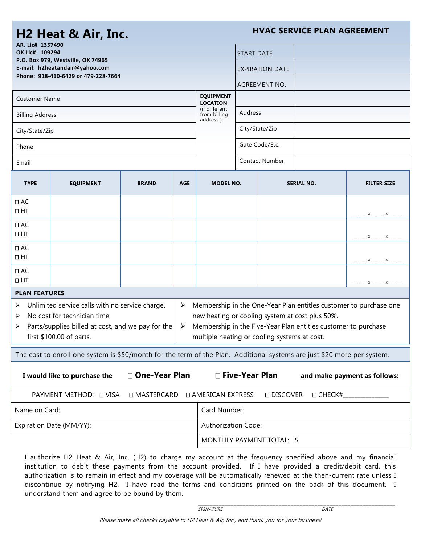## **H2 Heat & Air, Inc.**

**HVAC SERVICE PLAN AGREEMENT**

| AR. Lic# 1357490<br>OK Lic# 109294<br>P.O. Box 979, Westville, OK 74965<br>E-mail: h2heatandair@yahoo.com<br>Phone: 918-410-6429 or 479-228-7664                                |                                                                                                                                                                                                                                        |              |            |                                                                                    | <b>START DATE</b><br>EXPIRATION DATE<br><b>AGREEMENT NO.</b> |                   |  |                    |
|---------------------------------------------------------------------------------------------------------------------------------------------------------------------------------|----------------------------------------------------------------------------------------------------------------------------------------------------------------------------------------------------------------------------------------|--------------|------------|------------------------------------------------------------------------------------|--------------------------------------------------------------|-------------------|--|--------------------|
| <b>Customer Name</b>                                                                                                                                                            |                                                                                                                                                                                                                                        |              |            | <b>EQUIPMENT</b><br><b>LOCATION</b><br>(if different<br>from billing<br>address ): |                                                              |                   |  |                    |
| <b>Billing Address</b>                                                                                                                                                          |                                                                                                                                                                                                                                        |              |            |                                                                                    | Address<br>City/State/Zip<br>Gate Code/Etc.                  |                   |  |                    |
| City/State/Zip                                                                                                                                                                  |                                                                                                                                                                                                                                        |              |            |                                                                                    |                                                              |                   |  |                    |
| Phone                                                                                                                                                                           |                                                                                                                                                                                                                                        |              |            |                                                                                    |                                                              |                   |  |                    |
| Email                                                                                                                                                                           |                                                                                                                                                                                                                                        |              |            |                                                                                    | <b>Contact Number</b>                                        |                   |  |                    |
| <b>TYPE</b>                                                                                                                                                                     | <b>EQUIPMENT</b>                                                                                                                                                                                                                       | <b>BRAND</b> | <b>AGE</b> | <b>MODEL NO.</b>                                                                   |                                                              | <b>SERIAL NO.</b> |  | <b>FILTER SIZE</b> |
| □ AC<br>$\Box$ HT                                                                                                                                                               |                                                                                                                                                                                                                                        |              |            |                                                                                    |                                                              |                   |  |                    |
| $\Box$ AC<br>$\Box$ HT                                                                                                                                                          |                                                                                                                                                                                                                                        |              |            |                                                                                    |                                                              |                   |  | . x ______ x _     |
| $\Box$ AC<br>$\Box$ HT                                                                                                                                                          |                                                                                                                                                                                                                                        |              |            |                                                                                    |                                                              |                   |  |                    |
| $\Box$ AC<br>$\Box$ HT                                                                                                                                                          |                                                                                                                                                                                                                                        |              |            |                                                                                    |                                                              |                   |  | $x_{-}$<br>— × —   |
| <b>PLAN FEATURES</b>                                                                                                                                                            |                                                                                                                                                                                                                                        |              |            |                                                                                    |                                                              |                   |  |                    |
| Unlimited service calls with no service charge.<br>➤<br>No cost for technician time.<br>➤<br>Parts/supplies billed at cost, and we pay for the<br>➤<br>first \$100.00 of parts. | Membership in the One-Year Plan entitles customer to purchase one<br>new heating or cooling system at cost plus 50%.<br>Membership in the Five-Year Plan entitles customer to purchase<br>multiple heating or cooling systems at cost. |              |            |                                                                                    |                                                              |                   |  |                    |
| The cost to enroll one system is \$50/month for the term of the Plan. Additional systems are just \$20 more per system.                                                         |                                                                                                                                                                                                                                        |              |            |                                                                                    |                                                              |                   |  |                    |
| □ One-Year Plan<br>□ Five-Year Plan<br>I would like to purchase the<br>and make payment as follows:                                                                             |                                                                                                                                                                                                                                        |              |            |                                                                                    |                                                              |                   |  |                    |
| PAYMENT METHOD: □ VISA<br>□ MASTERCARD<br>□ AMERICAN EXPRESS<br>□ DISCOVER<br>$\Box$ CHECK#_                                                                                    |                                                                                                                                                                                                                                        |              |            |                                                                                    |                                                              |                   |  |                    |
| Name on Card:                                                                                                                                                                   |                                                                                                                                                                                                                                        |              |            | Card Number:                                                                       |                                                              |                   |  |                    |
| Expiration Date (MM/YY):                                                                                                                                                        |                                                                                                                                                                                                                                        |              |            | Authorization Code:                                                                |                                                              |                   |  |                    |
|                                                                                                                                                                                 | MONTHLY PAYMENT TOTAL: \$                                                                                                                                                                                                              |              |            |                                                                                    |                                                              |                   |  |                    |
|                                                                                                                                                                                 |                                                                                                                                                                                                                                        |              |            |                                                                                    |                                                              |                   |  |                    |

I authorize H2 Heat & Air, Inc. (H2) to charge my account at the frequency specified above and my financial institution to debit these payments from the account provided. If I have provided a credit/debit card, this authorization is to remain in effect and my coverage will be automatically renewed at the then-current rate unless I discontinue by notifying H2. I have read the terms and conditions printed on the back of this document. I understand them and agree to be bound by them.